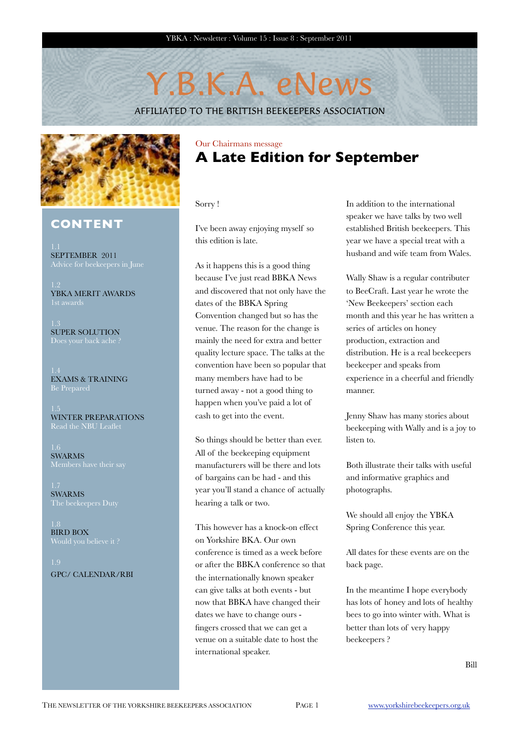# Y.B.K.A. eNews

AFFILIATED TO THE BRITISH BEEKEEPERS ASSOCIATION



## **CONTENT**

SEPTEMBER 2011

YBKA MERIT AWARDS

SUPER SOLUTION

EXAMS & TRAINING

WINTER PREPARATIONS

**SWARMS** 

SWARMS

BIRD BOX

GPC/ CALENDAR/RBI

## Our Chairmans message **A Late Edition for September**

Sorry !

I've been away enjoying myself so this edition is late.

As it happens this is a good thing because I've just read BBKA News and discovered that not only have the dates of the BBKA Spring Convention changed but so has the venue. The reason for the change is mainly the need for extra and better quality lecture space. The talks at the convention have been so popular that many members have had to be turned away - not a good thing to happen when you've paid a lot of cash to get into the event.

So things should be better than ever. All of the beekeeping equipment manufacturers will be there and lots of bargains can be had - and this year you'll stand a chance of actually hearing a talk or two.

This however has a knock-on effect on Yorkshire BKA. Our own conference is timed as a week before or after the BBKA conference so that the internationally known speaker can give talks at both events - but now that BBKA have changed their dates we have to change ours fingers crossed that we can get a venue on a suitable date to host the international speaker.

In addition to the international speaker we have talks by two well established British beekeepers. This year we have a special treat with a husband and wife team from Wales.

Wally Shaw is a regular contributer to BeeCraft. Last year he wrote the 'New Beekeepers' section each month and this year he has written a series of articles on honey production, extraction and distribution. He is a real beekeepers beekeeper and speaks from experience in a cheerful and friendly manner.

Jenny Shaw has many stories about beekeeping with Wally and is a joy to listen to.

Both illustrate their talks with useful and informative graphics and photographs.

We should all enjoy the YBKA Spring Conference this year.

All dates for these events are on the back page.

In the meantime I hope everybody has lots of honey and lots of healthy bees to go into winter with. What is better than lots of very happy beekeepers ?

Bill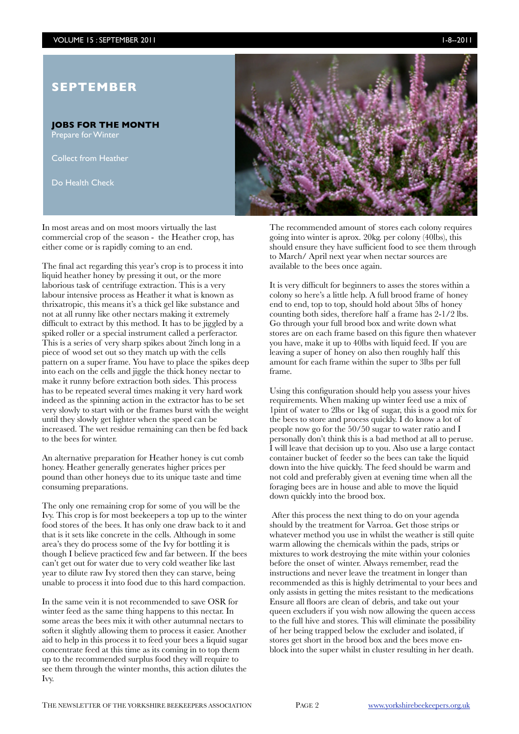### VOLUME 15 : SEPTEMBER 2011 1-8--2011

## **SEPTEMBER**

**JOBS FOR THE MONTH** Prepare for Winter

Collect from Heather

Do Health Check

In most areas and on most moors virtually the last commercial crop of the season - the Heather crop, has either come or is rapidly coming to an end.

The final act regarding this year's crop is to process it into liquid heather honey by pressing it out, or the more laborious task of centrifuge extraction. This is a very labour intensive process as Heather it what is known as thrixatropic, this means it's a thick gel like substance and not at all runny like other nectars making it extremely difficult to extract by this method. It has to be jiggled by a spiked roller or a special instrument called a perferactor. This is a series of very sharp spikes about 2inch long in a piece of wood set out so they match up with the cells pattern on a super frame. You have to place the spikes deep into each on the cells and jiggle the thick honey nectar to make it runny before extraction both sides. This process has to be repeated several times making it very hard work indeed as the spinning action in the extractor has to be set very slowly to start with or the frames burst with the weight until they slowly get lighter when the speed can be increased. The wet residue remaining can then be fed back to the bees for winter.

An alternative preparation for Heather honey is cut comb honey. Heather generally generates higher prices per pound than other honeys due to its unique taste and time consuming preparations.

The only one remaining crop for some of you will be the Ivy. This crop is for most beekeepers a top up to the winter food stores of the bees. It has only one draw back to it and that is it sets like concrete in the cells. Although in some area's they do process some of the Ivy for bottling it is though I believe practiced few and far between. If the bees can't get out for water due to very cold weather like last year to dilute raw Ivy stored then they can starve, being unable to process it into food due to this hard compaction.

In the same vein it is not recommended to save OSR for winter feed as the same thing happens to this nectar. In some areas the bees mix it with other autumnal nectars to soften it slightly allowing them to process it easier. Another aid to help in this process it to feed your bees a liquid sugar concentrate feed at this time as its coming in to top them up to the recommended surplus food they will require to see them through the winter months, this action dilutes the Ivy.



The recommended amount of stores each colony requires going into winter is aprox. 20kg. per colony (40lbs), this should ensure they have sufficient food to see them through to March/ April next year when nectar sources are available to the bees once again.

It is very difficult for beginners to asses the stores within a colony so here's a little help. A full brood frame of honey end to end, top to top, should hold about 5lbs of honey counting both sides, therefore half a frame has 2-1/2 lbs. Go through your full brood box and write down what stores are on each frame based on this figure then whatever you have, make it up to 40lbs with liquid feed. If you are leaving a super of honey on also then roughly half this amount for each frame within the super to 3lbs per full frame.

Using this configuration should help you assess your hives requirements. When making up winter feed use a mix of 1pint of water to 2lbs or 1kg of sugar, this is a good mix for the bees to store and process quickly. I do know a lot of people now go for the 50/50 sugar to water ratio and I personally don't think this is a bad method at all to peruse. I will leave that decision up to you. Also use a large contact container bucket of feeder so the bees can take the liquid down into the hive quickly. The feed should be warm and not cold and preferably given at evening time when all the foraging bees are in house and able to move the liquid down quickly into the brood box.

 After this process the next thing to do on your agenda should by the treatment for Varroa. Get those strips or whatever method you use in whilst the weather is still quite warm allowing the chemicals within the pads, strips or mixtures to work destroying the mite within your colonies before the onset of winter. Always remember, read the instructions and never leave the treatment in longer than recommended as this is highly detrimental to your bees and only assists in getting the mites resistant to the medications Ensure all floors are clean of debris, and take out your queen excluders if you wish now allowing the queen access to the full hive and stores. This will eliminate the possibility of her being trapped below the excluder and isolated, if stores get short in the brood box and the bees move enblock into the super whilst in cluster resulting in her death.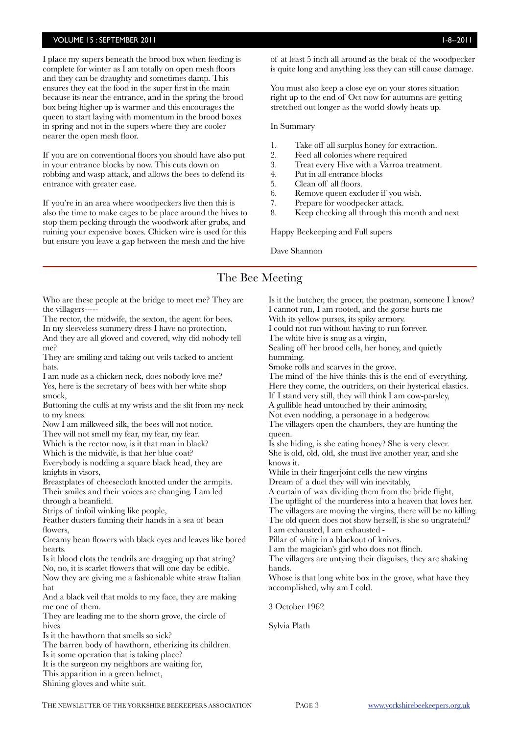## VOLUME 15 : SEPTEMBER 2011 and the set of the set of the set of the set of the set of the set of the set of the set of the set of the set of the set of the set of the set of the set of the set of the set of the set of the

I place my supers beneath the brood box when feeding is complete for winter as I am totally on open mesh floors and they can be draughty and sometimes damp. This ensures they eat the food in the super first in the main because its near the entrance, and in the spring the brood box being higher up is warmer and this encourages the queen to start laying with momentum in the brood boxes in spring and not in the supers where they are cooler nearer the open mesh floor.

If you are on conventional floors you should have also put in your entrance blocks by now. This cuts down on robbing and wasp attack, and allows the bees to defend its entrance with greater ease.

If you're in an area where woodpeckers live then this is also the time to make cages to be place around the hives to stop them pecking through the woodwork after grubs, and ruining your expensive boxes. Chicken wire is used for this but ensure you leave a gap between the mesh and the hive

of at least 5 inch all around as the beak of the woodpecker is quite long and anything less they can still cause damage.

You must also keep a close eye on your stores situation right up to the end of Oct now for autumns are getting stretched out longer as the world slowly heats up.

#### In Summary

- 1. Take off all surplus honey for extraction.
- 2. Feed all colonies where required
- 3. Treat every Hive with a Varroa treatment.
- 4. Put in all entrance blocks
- 5. Clean off all floors.
- 6. Remove queen excluder if you wish.
- 7. Prepare for woodpecker attack.
- 8. Keep checking all through this month and next

Happy Beekeeping and Full supers

Dave Shannon

## The Bee Meeting

Who are these people at the bridge to meet me? They are the villagers-----

The rector, the midwife, the sexton, the agent for bees. In my sleeveless summery dress I have no protection,

And they are all gloved and covered, why did nobody tell me?

They are smiling and taking out veils tacked to ancient hats.

I am nude as a chicken neck, does nobody love me? Yes, here is the secretary of bees with her white shop smock,

Buttoning the cuffs at my wrists and the slit from my neck to my knees.

Now I am milkweed silk, the bees will not notice.

Thev will not smell my fear, my fear, my fear.

Which is the rector now, is it that man in black?

Which is the midwife, is that her blue coat? Everybody is nodding a square black head, they are knights in visors,

Breastplates of cheesecloth knotted under the armpits. Their smiles and their voices are changing. I am led through a beanfield.

Strips of tinfoil winking like people,

Feather dusters fanning their hands in a sea of bean flowers,

Creamy bean flowers with black eyes and leaves like bored hearts.

Is it blood clots the tendrils are dragging up that string? No, no, it is scarlet flowers that will one day be edible. Now they are giving me a fashionable white straw Italian hat

And a black veil that molds to my face, they are making me one of them.

They are leading me to the shorn grove, the circle of hives.

Is it the hawthorn that smells so sick?

The barren body of hawthorn, etherizing its children.

Is it some operation that is taking place?

It is the surgeon my neighbors are waiting for,

This apparition in a green helmet,

Shining gloves and white suit.

Is it the butcher, the grocer, the postman, someone I know? I cannot run, I am rooted, and the gorse hurts me With its yellow purses, its spiky armory. I could not run without having to run forever. The white hive is snug as a virgin, Sealing off her brood cells, her honey, and quietly humming. Smoke rolls and scarves in the grove. The mind of the hive thinks this is the end of everything. Here they come, the outriders, on their hysterical elastics. If I stand very still, they will think I am cow-parsley, A gullible head untouched by their animosity, Not even nodding, a personage in a hedgerow. The villagers open the chambers, they are hunting the queen. Is she hiding, is she eating honey? She is very clever. She is old, old, old, she must live another year, and she knows it. While in their fingerjoint cells the new virgins Dream of a duel they will win inevitably, A curtain of wax dividing them from the bride flight, The upflight of the murderess into a heaven that loves her. The villagers are moving the virgins, there will be no killing. The old queen does not show herself, is she so ungrateful? I am exhausted, I am exhausted - Pillar of white in a blackout of knives. I am the magician's girl who does not flinch. The villagers are untying their disguises, they are shaking hands. Whose is that long white box in the grove, what have they accomplished, why am I cold. 3 October 1962

Sylvia Plath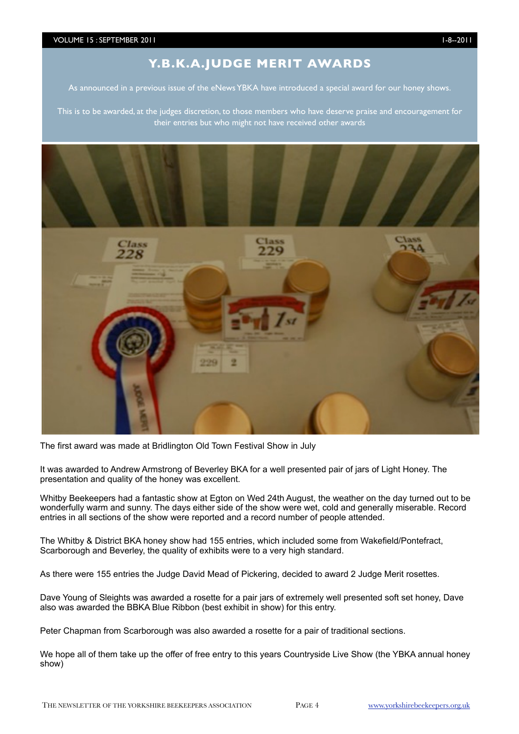## **Y.B.K.A.JUDGE MERIT AWARDS**

As announced in a previous issue of the eNews YBKA have introduced a special award for our honey shows.

This is to be awarded, at the judges discretion, to those members who have deserve praise and encouragement for their entries but who might not have received other awards



The first award was made at Bridlington Old Town Festival Show in July

It was awarded to Andrew Armstrong of Beverley BKA for a well presented pair of jars of Light Honey. The presentation and quality of the honey was excellent.

Whitby Beekeepers had a fantastic show at Egton on Wed 24th August, the weather on the day turned out to be wonderfully warm and sunny. The days either side of the show were wet, cold and generally miserable. Record entries in all sections of the show were reported and a record number of people attended.

The Whitby & District BKA honey show had 155 entries, which included some from Wakefield/Pontefract, Scarborough and Beverley, the quality of exhibits were to a very high standard.

As there were 155 entries the Judge David Mead of Pickering, decided to award 2 Judge Merit rosettes.

Dave Young of Sleights was awarded a rosette for a pair jars of extremely well presented soft set honey, Dave also was awarded the BBKA Blue Ribbon (best exhibit in show) for this entry.

Peter Chapman from Scarborough was also awarded a rosette for a pair of traditional sections.

We hope all of them take up the offer of free entry to this years Countryside Live Show (the YBKA annual honey show)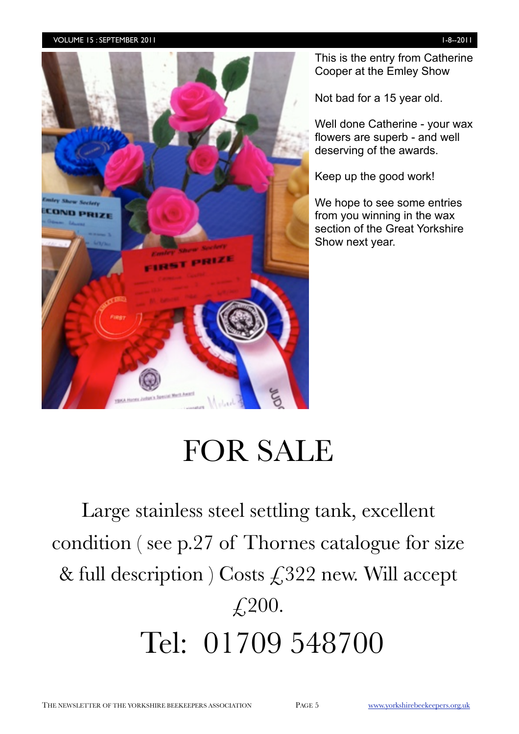## VOLUME 15 : SEPTEMBER 2011 and the set of the set of the set of the set of the set of the set of the set of the set of the set of the set of the set of the set of the set of the set of the set of the set of the set of the



This is the entry from Catherine Cooper at the Emley Show

Not bad for a 15 year old.

Well done Catherine - your wax flowers are superb - and well deserving of the awards.

Keep up the good work!

We hope to see some entries from you winning in the wax section of the Great Yorkshire Show next year.

# FOR SALE

Large stainless steel settling tank, excellent condition ( see p.27 of Thornes catalogue for size & full description ) Costs  $\text{\emph{\textbf{\textit{f}}}}\,322$  new. Will accept £200. Tel: 01709 548700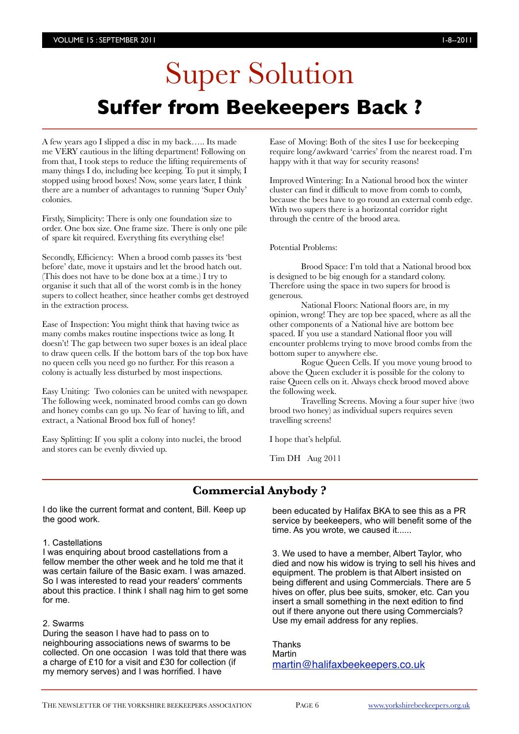# Super Solution **Suffer from Beekeepers Back ?**

A few years ago I slipped a disc in my back….. Its made me VERY cautious in the lifting department! Following on from that, I took steps to reduce the lifting requirements of many things I do, including bee keeping. To put it simply, I stopped using brood boxes! Now, some years later, I think there are a number of advantages to running 'Super Only' colonies.

Firstly, Simplicity: There is only one foundation size to order. One box size. One frame size. There is only one pile of spare kit required. Everything fits everything else!

Secondly, Efficiency: When a brood comb passes its 'best before' date, move it upstairs and let the brood hatch out. (This does not have to be done box at a time.) I try to organise it such that all of the worst comb is in the honey supers to collect heather, since heather combs get destroyed in the extraction process.

Ease of Inspection: You might think that having twice as many combs makes routine inspections twice as long. It doesn't! The gap between two super boxes is an ideal place to draw queen cells. If the bottom bars of the top box have no queen cells you need go no further. For this reason a colony is actually less disturbed by most inspections.

Easy Uniting: Two colonies can be united with newspaper. The following week, nominated brood combs can go down and honey combs can go up. No fear of having to lift, and extract, a National Brood box full of honey!

Easy Splitting: If you split a colony into nuclei, the brood and stores can be evenly divvied up.

Ease of Moving: Both of the sites I use for beekeeping require long/awkward 'carries' from the nearest road. I'm happy with it that way for security reasons!

Improved Wintering: In a National brood box the winter cluster can find it difficult to move from comb to comb, because the bees have to go round an external comb edge. With two supers there is a horizontal corridor right through the centre of the brood area.

## Potential Problems:

Brood Space: I'm told that a National brood box is designed to be big enough for a standard colony. Therefore using the space in two supers for brood is generous.

National Floors: National floors are, in my opinion, wrong! They are top bee spaced, where as all the other components of a National hive are bottom bee spaced. If you use a standard National floor you will encounter problems trying to move brood combs from the bottom super to anywhere else.

Rogue Queen Cells. If you move young brood to above the Queen excluder it is possible for the colony to raise Queen cells on it. Always check brood moved above the following week.

Travelling Screens. Moving a four super hive (two brood two honey) as individual supers requires seven travelling screens!

I hope that's helpful.

Tim DH Aug 2011

## **Commercial Anybody ?**

I do like the current format and content, Bill. Keep up the good work.

## 1. Castellations

I was enquiring about brood castellations from a fellow member the other week and he told me that it was certain failure of the Basic exam. I was amazed. So I was interested to read your readers' comments about this practice. I think I shall nag him to get some for me.

## 2. Swarms

During the season I have had to pass on to neighbouring associations news of swarms to be collected. On one occasion I was told that there was a charge of £10 for a visit and £30 for collection (if my memory serves) and I was horrified. I have

been educated by Halifax BKA to see this as a PR service by beekeepers, who will benefit some of the time. As you wrote, we caused it......

3. We used to have a member, Albert Taylor, who died and now his widow is trying to sell his hives and equipment. The problem is that Albert insisted on being different and using Commercials. There are 5 hives on offer, plus bee suits, smoker, etc. Can you insert a small something in the next edition to find out if there anyone out there using Commercials? Use my email address for any replies.

**Thanks** Martin [martin@halifaxbeekeepers.co.uk](mailto:martin@halifaxbeekeepers.co.uk)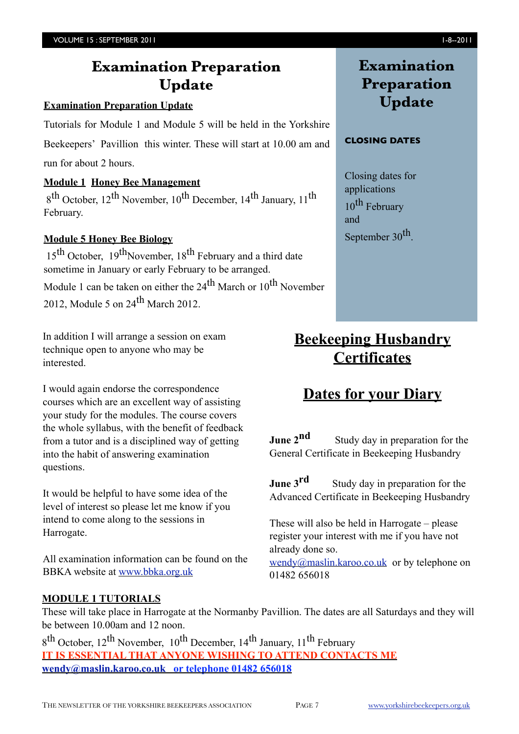## **Examination Preparation Update**

## **Examination Preparation Update**

Tutorials for Module 1 and Module 5 will be held in the Yorkshire Beekeepers' Pavillion this winter. These will start at 10.00 am and run for about 2 hours.

## **Module 1 Honey Bee Management**

 $8<sup>th</sup>$  October, 12<sup>th</sup> November, 10<sup>th</sup> December, 14<sup>th</sup> January, 11<sup>th</sup> February.

## **Module 5 Honey Bee Biology**

 $15<sup>th</sup>$  October,  $19<sup>th</sup>$ November,  $18<sup>th</sup>$  February and a third date sometime in January or early February to be arranged. Module 1 can be taken on either the  $24<sup>th</sup>$  March or  $10<sup>th</sup>$  November 2012, Module 5 on  $24<sup>th</sup>$  March 2012.

In addition I will arrange a session on exam technique open to anyone who may be interested.

I would again endorse the correspondence courses which are an excellent way of assisting your study for the modules. The course covers the whole syllabus, with the benefit of feedback from a tutor and is a disciplined way of getting into the habit of answering examination questions.

It would be helpful to have some idea of the level of interest so please let me know if you intend to come along to the sessions in Harrogate.

All examination information can be found on the BBKA website at [www.bbka.org.uk](http://www.bbka.org.uk/)

## **Beekeeping Husbandry Certificates**

## **Dates for your Diary**

**June 2<sup>nd</sup>** Study day in preparation for the General Certificate in Beekeeping Husbandry

**June 3<sup>rd</sup>** Study day in preparation for the Advanced Certificate in Beekeeping Husbandry

These will also be held in Harrogate – please register your interest with me if you have not already done so.

[wendy@maslin.karoo.co.uk](mailto:wendy@maslin.karoo.co.uk) or by telephone on 01482 656018

## **MODULE 1 TUTORIALS**

These will take place in Harrogate at the Normanby Pavillion. The dates are all Saturdays and they will be between 10.00am and 12 noon.

 $8<sup>th</sup>$  October, 12<sup>th</sup> November, 10<sup>th</sup> December, 14<sup>th</sup> January, 11<sup>th</sup> February **IT IS ESSENTIAL THAT ANYONE WISHING TO ATTEND CONTACTS ME [wendy@maslin.karoo.co.uk](mailto:wendy@maslin.karoo.co.uk) or telephone 01482 656018**

**Examination Preparation Update**

## **CLOSING DATES**

Closing dates for applications  $10^{\text{th}}$  February and September 30<sup>th</sup>.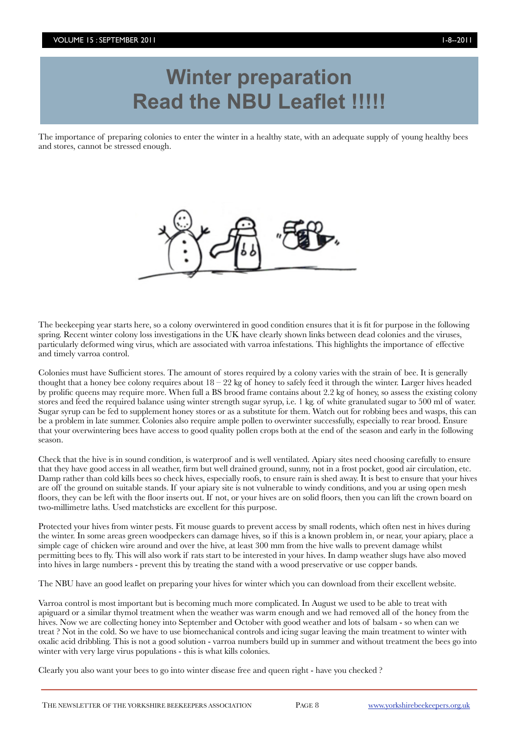## **Winter preparation Read the NBU Leaflet !!!!!**

The importance of preparing colonies to enter the winter in a healthy state, with an adequate supply of young healthy bees and stores, cannot be stressed enough.



The beekeeping year starts here, so a colony overwintered in good condition ensures that it is fit for purpose in the following spring. Recent winter colony loss investigations in the UK have clearly shown links between dead colonies and the viruses, particularly deformed wing virus, which are associated with varroa infestations. This highlights the importance of effective and timely varroa control.

Colonies must have Sufficient stores. The amount of stores required by a colony varies with the strain of bee. It is generally thought that a honey bee colony requires about  $18 - 22$  kg of honey to safely feed it through the winter. Larger hives headed by prolific queens may require more. When full a BS brood frame contains about 2.2 kg of honey, so assess the existing colony stores and feed the required balance using winter strength sugar syrup, i.e. 1 kg. of white granulated sugar to 500 ml of water. Sugar syrup can be fed to supplement honey stores or as a substitute for them. Watch out for robbing bees and wasps, this can be a problem in late summer. Colonies also require ample pollen to overwinter successfully, especially to rear brood. Ensure that your overwintering bees have access to good quality pollen crops both at the end of the season and early in the following season.

Check that the hive is in sound condition, is waterproof and is well ventilated. Apiary sites need choosing carefully to ensure that they have good access in all weather, firm but well drained ground, sunny, not in a frost pocket, good air circulation, etc. Damp rather than cold kills bees so check hives, especially roofs, to ensure rain is shed away. It is best to ensure that your hives are off the ground on suitable stands. If your apiary site is not vulnerable to windy conditions, and you ar using open mesh floors, they can be left with the floor inserts out. If not, or your hives are on solid floors, then you can lift the crown board on two-millimetre laths. Used matchsticks are excellent for this purpose.

Protected your hives from winter pests. Fit mouse guards to prevent access by small rodents, which often nest in hives during the winter. In some areas green woodpeckers can damage hives, so if this is a known problem in, or near, your apiary, place a simple cage of chicken wire around and over the hive, at least 300 mm from the hive walls to prevent damage whilst permitting bees to fly. This will also work if rats start to be interested in your hives. In damp weather slugs have also moved into hives in large numbers - prevent this by treating the stand with a wood preservative or use copper bands.

The NBU have an good leaflet on preparing your hives for winter which you can download from their excellent website.

Varroa control is most important but is becoming much more complicated. In August we used to be able to treat with apiguard or a similar thymol treatment when the weather was warm enough and we had removed all of the honey from the hives. Now we are collecting honey into September and October with good weather and lots of balsam - so when can we treat ? Not in the cold. So we have to use biomechanical controls and icing sugar leaving the main treatment to winter with oxalic acid dribbling. This is not a good solution - varroa numbers build up in summer and without treatment the bees go into winter with very large virus populations - this is what kills colonies.

Clearly you also want your bees to go into winter disease free and queen right - have you checked ?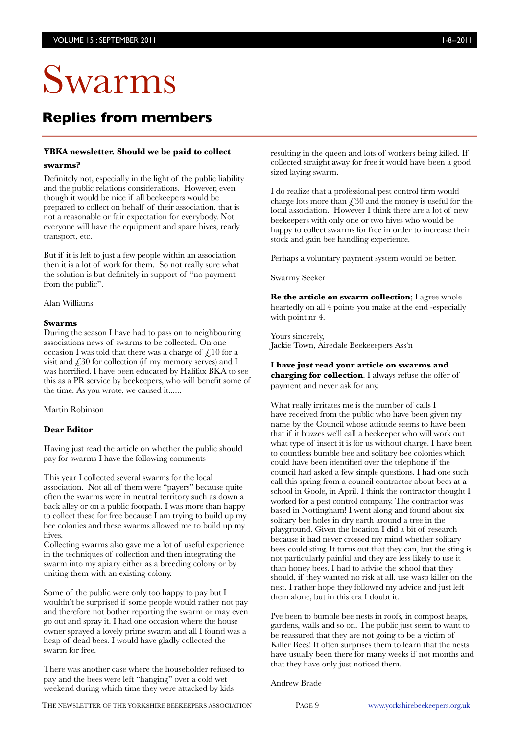# Swarms

## **Replies from members**

#### **YBKA newsletter. Should we be paid to collect**

#### **swarms?**

Definitely not, especially in the light of the public liability and the public relations considerations. However, even though it would be nice if all beekeepers would be prepared to collect on behalf of their association, that is not a reasonable or fair expectation for everybody. Not everyone will have the equipment and spare hives, ready transport, etc.

But if it is left to just a few people within an association then it is a lot of work for them. So not really sure what the solution is but definitely in support of "no payment from the public".

Alan Williams

#### **Swarms**

During the season I have had to pass on to neighbouring associations news of swarms to be collected. On one occasion I was told that there was a charge of  $\angle 10$  for a visit and  $\angle$  30 for collection (if my memory serves) and I was horrified. I have been educated by Halifax BKA to see this as a PR service by beekeepers, who will benefit some of the time. As you wrote, we caused it......

Martin Robinson

#### **Dear Editor**

Having just read the article on whether the public should pay for swarms I have the following comments

This year I collected several swarms for the local association. Not all of them were "payers" because quite often the swarms were in neutral territory such as down a back alley or on a public footpath. I was more than happy to collect these for free because I am trying to build up my bee colonies and these swarms allowed me to build up my hives.

Collecting swarms also gave me a lot of useful experience in the techniques of collection and then integrating the swarm into my apiary either as a breeding colony or by uniting them with an existing colony.

Some of the public were only too happy to pay but I wouldn't be surprised if some people would rather not pay and therefore not bother reporting the swarm or may even go out and spray it. I had one occasion where the house owner sprayed a lovely prime swarm and all I found was a heap of dead bees. I would have gladly collected the swarm for free.

There was another case where the householder refused to pay and the bees were left "hanging" over a cold wet weekend during which time they were attacked by kids

resulting in the queen and lots of workers being killed. If collected straight away for free it would have been a good sized laying swarm.

I do realize that a professional pest control firm would charge lots more than  $£30$  and the money is useful for the local association. However I think there are a lot of new beekeepers with only one or two hives who would be happy to collect swarms for free in order to increase their stock and gain bee handling experience.

Perhaps a voluntary payment system would be better.

Swarmy Seeker

**Re the article on swarm collection**; I agree whole heartedly on all 4 points you make at the end -especially with point nr 4.

Yours sincerely, Jackie Town, Airedale Beekeeepers Ass'n

#### **I have just read your article on swarms and charging for collection**. I always refuse the offer of payment and never ask for any.

What really irritates me is the number of calls I have received from the public who have been given my name by the Council whose attitude seems to have been that if it buzzes we'll call a beekeeper who will work out what type of insect it is for us without charge. I have been to countless bumble bee and solitary bee colonies which could have been identified over the telephone if the council had asked a few simple questions. I had one such call this spring from a council contractor about bees at a school in Goole, in April. I think the contractor thought I worked for a pest control company. The contractor was based in Nottingham! I went along and found about six solitary bee holes in dry earth around a tree in the playground. Given the location I did a bit of research because it had never crossed my mind whether solitary bees could sting. It turns out that they can, but the sting is not particularly painful and they are less likely to use it than honey bees. I had to advise the school that they should, if they wanted no risk at all, use wasp killer on the nest. I rather hope they followed my advice and just left them alone, but in this era I doubt it.

I've been to bumble bee nests in roofs, in compost heaps, gardens, walls and so on. The public just seem to want to be reassured that they are not going to be a victim of Killer Bees! It often surprises them to learn that the nests have usually been there for many weeks if not months and that they have only just noticed them.

Andrew Brade

THE NEWSLETTER OF THE YORKSHIRE BEEKEEPERS ASSOCIATION PAGE 9 [www.yorkshirebeekeepers.org.uk](http://www.yorkshirebeekeepers.org.uk)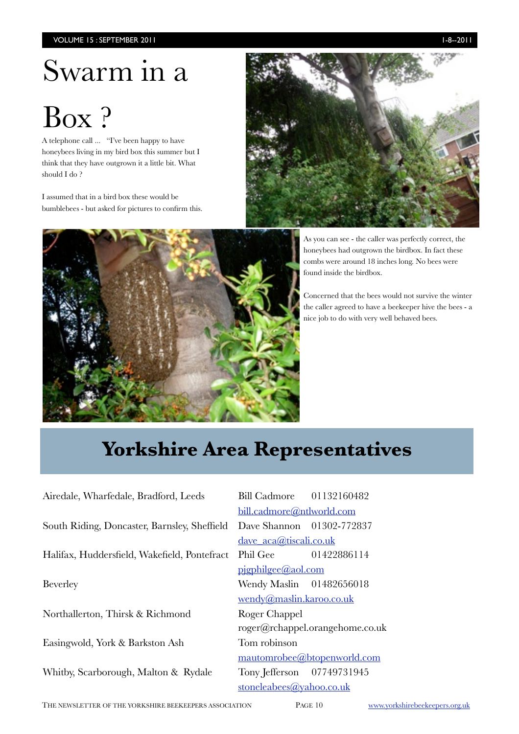# Swarm in a

# Box ?

A telephone call ... "I've been happy to have honeybees living in my bird box this summer but I think that they have outgrown it a little bit. What should I do ?

I assumed that in a bird box these would be bumblebees - but asked for pictures to confirm this.





As you can see - the caller was perfectly correct, the honeybees had outgrown the birdbox. In fact these combs were around 18 inches long. No bees were found inside the birdbox.

Concerned that the bees would not survive the winter the caller agreed to have a beekeeper hive the bees - a nice job to do with very well behaved bees.

## **Yorkshire Area Representatives Yorkshire Area Representatives**

Airedale, Wharfedale, Bradford, Leeds Bill Cadmore 01132160482 South Riding, Doncaster, Barnsley, Sheffield Dave Shannon 01302-772837 Halifax, Huddersfield, Wakefield, Pontefract Phil Gee 01422886114 Beverley **Wendy Maslin** 01482656018 Northallerton, Thirsk & Richmond Roger Chappel Easingwold, York & Barkston Ash Tom robinson

Whitby, Scarborough, Malton & Rydale Tony Jefferson 07749731945

 [bill.cadmore@ntlworld.com](mailto:bill.cadmore@ntlworld.com) [dave\\_aca@tiscali.co.uk](mailto:dave_aca@tiscali.co.uk) [pjgphilgee@aol.com](mailto:pjgphilgee@aol.com) [wendy@maslin.karoo.co.uk](mailto:wendy@maslin.karoo.co.uk) [roger@rchappel.orangehome.co.uk](mailto:roger@rchappel.orangehome.co.uk) [mautomrobee@btopenworld.com](mailto:mautomrobee@btopenworld.com) [stoneleabees@yahoo.co.uk](mailto:stoneleabees@yahoo.co.uk)